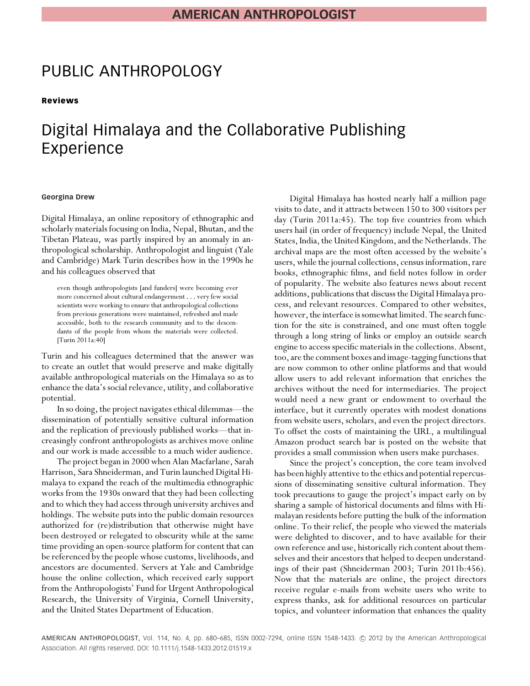# PUBLIC ANTHROPOLOGY

### Reviews

# Digital Himalaya and the Collaborative Publishing Experience

#### **Georgina Drew**

Digital Himalaya, an online repository of ethnographic and scholarly materials focusing on India, Nepal, Bhutan, and the Tibetan Plateau, was partly inspired by an anomaly in anthropological scholarship. Anthropologist and linguist (Yale and Cambridge) Mark Turin describes how in the 1990s he and his colleagues observed that

even though anthropologists [and funders] were becoming ever more concerned about cultural endangerment ... very few social scientists were working to ensure that anthropological collections from previous generations were maintained, refreshed and made accessible, both to the research community and to the descendants of the people from whom the materials were collected. [Turin 2011a:40]

Turin and his colleagues determined that the answer was to create an outlet that would preserve and make digitally available anthropological materials on the Himalaya so as to enhance the data's social relevance, utility, and collaborative potential.

In so doing, the project navigates ethical dilemmas—the dissemination of potentially sensitive cultural information and the replication of previously published works—that increasingly confront anthropologists as archives move online and our work is made accessible to a much wider audience.

The project began in 2000 when Alan Macfarlane, Sarah Harrison, Sara Shneiderman, and Turin launched Digital Himalaya to expand the reach of the multimedia ethnographic works from the 1930s onward that they had been collecting and to which they had access through university archives and holdings. The website puts into the public domain resources authorized for (re)distribution that otherwise might have been destroyed or relegated to obscurity while at the same time providing an open-source platform for content that can be referenced by the people whose customs, livelihoods, and ancestors are documented. Servers at Yale and Cambridge house the online collection, which received early support from the Anthropologists' Fund for Urgent Anthropological Research, the University of Virginia, Cornell University, and the United States Department of Education.

Digital Himalaya has hosted nearly half a million page visits to date, and it attracts between 150 to 300 visitors per day (Turin 2011a:45). The top five countries from which users hail (in order of frequency) include Nepal, the United States, India, the United Kingdom, and the Netherlands. The archival maps are the most often accessed by the website's users, while the journal collections, census information, rare books, ethnographic films, and field notes follow in order of popularity. The website also features news about recent additions, publications that discuss the Digital Himalaya process, and relevant resources. Compared to other websites, however, the interface is somewhat limited. The search function for the site is constrained, and one must often toggle through a long string of links or employ an outside search engine to access specific materials in the collections. Absent, too, are the comment boxes and image-tagging functions that are now common to other online platforms and that would allow users to add relevant information that enriches the archives without the need for intermediaries. The project would need a new grant or endowment to overhaul the interface, but it currently operates with modest donations from website users, scholars, and even the project directors. To offset the costs of maintaining the URL, a multilingual Amazon product search bar is posted on the website that provides a small commission when users make purchases.

Since the project's conception, the core team involved has been highly attentive to the ethics and potential repercussions of disseminating sensitive cultural information. They took precautions to gauge the project's impact early on by sharing a sample of historical documents and films with Himalayan residents before putting the bulk of the information online. To their relief, the people who viewed the materials were delighted to discover, and to have available for their own reference and use, historically rich content about themselves and their ancestors that helped to deepen understandings of their past (Shneiderman 2003; Turin 2011b:456). Now that the materials are online, the project directors receive regular e-mails from website users who write to express thanks, ask for additional resources on particular topics, and volunteer information that enhances the quality